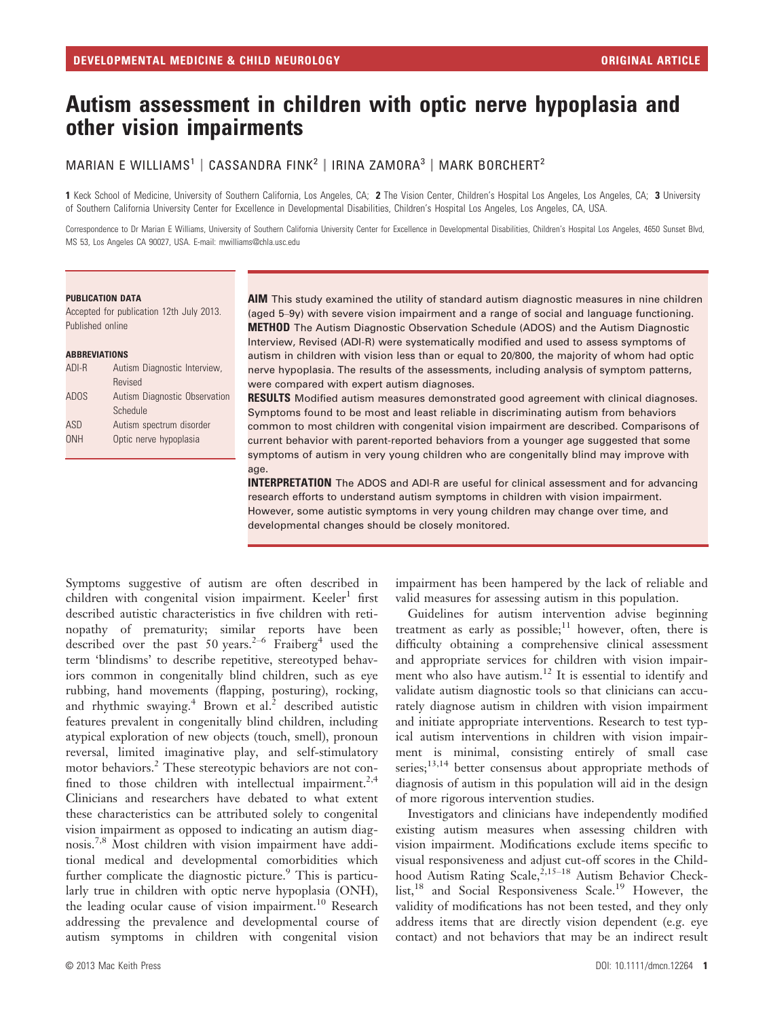# Autism assessment in children with optic nerve hypoplasia and other vision impairments

# MARIAN E WILLIAMS<sup>1</sup> | CASSANDRA FINK<sup>2</sup> | IRINA ZAMORA<sup>3</sup> | MARK BORCHERT<sup>2</sup>

1 Keck School of Medicine, University of Southern California, Los Angeles, CA; 2 The Vision Center, Children's Hospital Los Angeles, Los Angeles, CA; 3 University of Southern California University Center for Excellence in Developmental Disabilities, Children's Hospital Los Angeles, Los Angeles, CA, USA.

Correspondence to Dr Marian E Williams, University of Southern California University Center for Excellence in Developmental Disabilities, Children's Hospital Los Angeles, 4650 Sunset Blvd, MS 53, Los Angeles CA 90027, USA. E-mail: mwilliams@chla.usc.edu

#### PUBLICATION DATA

Accepted for publication 12th July 2013. Published online

#### **ABBREVIATIONS**

| ADI-R       | Autism Diagnostic Interview,  |
|-------------|-------------------------------|
|             | Revised                       |
| <b>ADOS</b> | Autism Diagnostic Observation |
|             | Schedule                      |
| ASD         | Autism spectrum disorder      |
| <b>ONH</b>  | Optic nerve hypoplasia        |
|             |                               |

AIM This study examined the utility of standard autism diagnostic measures in nine children (aged 5–9y) with severe vision impairment and a range of social and language functioning. METHOD The Autism Diagnostic Observation Schedule (ADOS) and the Autism Diagnostic Interview, Revised (ADI-R) were systematically modified and used to assess symptoms of autism in children with vision less than or equal to 20/800, the majority of whom had optic nerve hypoplasia. The results of the assessments, including analysis of symptom patterns, were compared with expert autism diagnoses. **RESULTS** Modified autism measures demonstrated good agreement with clinical diagnoses.

Symptoms found to be most and least reliable in discriminating autism from behaviors common to most children with congenital vision impairment are described. Comparisons of current behavior with parent-reported behaviors from a younger age suggested that some symptoms of autism in very young children who are congenitally blind may improve with age.

INTERPRETATION The ADOS and ADI-R are useful for clinical assessment and for advancing research efforts to understand autism symptoms in children with vision impairment. However, some autistic symptoms in very young children may change over time, and developmental changes should be closely monitored.

Symptoms suggestive of autism are often described in children with congenital vision impairment. Keeler<sup>1</sup> first described autistic characteristics in five children with retinopathy of prematurity; similar reports have been described over the past 50 years.<sup>2–6</sup> Fraiberg<sup>4</sup> used the term 'blindisms' to describe repetitive, stereotyped behaviors common in congenitally blind children, such as eye rubbing, hand movements (flapping, posturing), rocking, and rhythmic swaying.<sup>4</sup> Brown et al.<sup>2</sup> described autistic features prevalent in congenitally blind children, including atypical exploration of new objects (touch, smell), pronoun reversal, limited imaginative play, and self-stimulatory motor behaviors.<sup>2</sup> These stereotypic behaviors are not confined to those children with intellectual impairment.<sup>2,4</sup> Clinicians and researchers have debated to what extent these characteristics can be attributed solely to congenital vision impairment as opposed to indicating an autism diagnosis.7,8 Most children with vision impairment have additional medical and developmental comorbidities which further complicate the diagnostic picture.<sup>9</sup> This is particularly true in children with optic nerve hypoplasia (ONH), the leading ocular cause of vision impairment.<sup>10</sup> Research addressing the prevalence and developmental course of autism symptoms in children with congenital vision

impairment has been hampered by the lack of reliable and valid measures for assessing autism in this population.

Guidelines for autism intervention advise beginning treatment as early as possible; $11$  however, often, there is difficulty obtaining a comprehensive clinical assessment and appropriate services for children with vision impairment who also have autism.<sup>12</sup> It is essential to identify and validate autism diagnostic tools so that clinicians can accurately diagnose autism in children with vision impairment and initiate appropriate interventions. Research to test typical autism interventions in children with vision impairment is minimal, consisting entirely of small case series;<sup>13,14</sup> better consensus about appropriate methods of diagnosis of autism in this population will aid in the design of more rigorous intervention studies.

Investigators and clinicians have independently modified existing autism measures when assessing children with vision impairment. Modifications exclude items specific to visual responsiveness and adjust cut-off scores in the Childhood Autism Rating Scale,<sup>2,15-18</sup> Autism Behavior Checklist, $^{18}$  and Social Responsiveness Scale.<sup>19</sup> However, the validity of modifications has not been tested, and they only address items that are directly vision dependent (e.g. eye contact) and not behaviors that may be an indirect result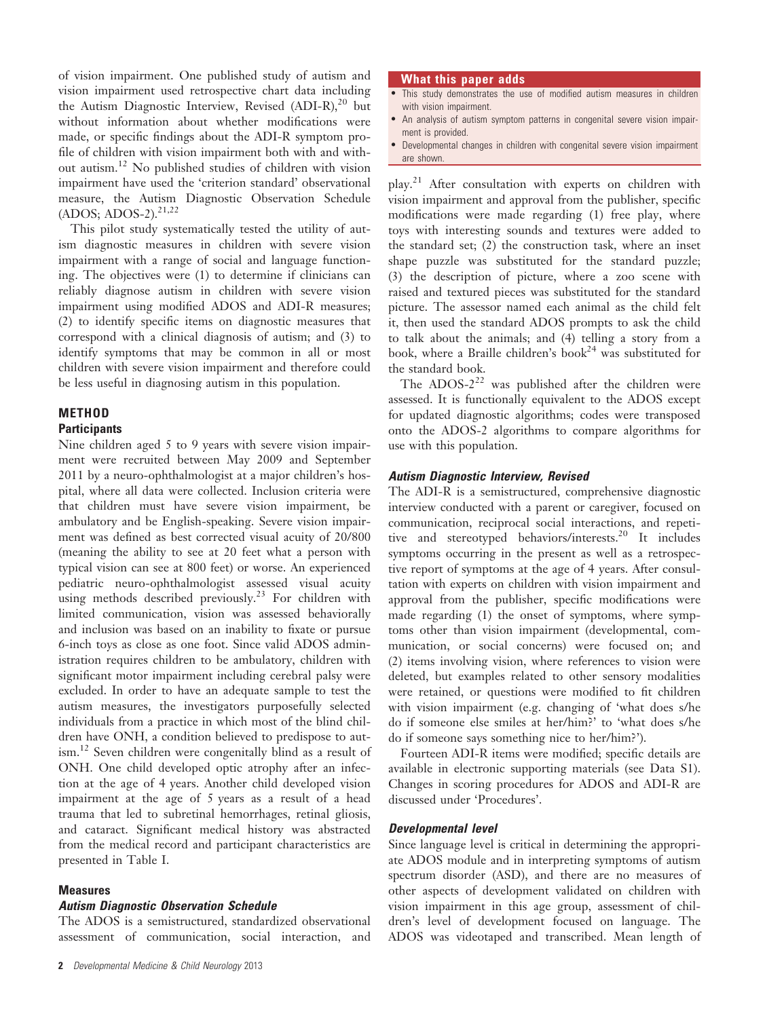of vision impairment. One published study of autism and vision impairment used retrospective chart data including the Autism Diagnostic Interview, Revised  $(ADI-R)<sup>20</sup>$  but without information about whether modifications were made, or specific findings about the ADI-R symptom profile of children with vision impairment both with and without autism.12 No published studies of children with vision impairment have used the 'criterion standard' observational measure, the Autism Diagnostic Observation Schedule  $(ADOS; ADOS-2).$ <sup>21,22</sup>

This pilot study systematically tested the utility of autism diagnostic measures in children with severe vision impairment with a range of social and language functioning. The objectives were (1) to determine if clinicians can reliably diagnose autism in children with severe vision impairment using modified ADOS and ADI-R measures; (2) to identify specific items on diagnostic measures that correspond with a clinical diagnosis of autism; and (3) to identify symptoms that may be common in all or most children with severe vision impairment and therefore could be less useful in diagnosing autism in this population.

# **METHOD**

## **Participants**

Nine children aged 5 to 9 years with severe vision impairment were recruited between May 2009 and September 2011 by a neuro-ophthalmologist at a major children's hospital, where all data were collected. Inclusion criteria were that children must have severe vision impairment, be ambulatory and be English-speaking. Severe vision impairment was defined as best corrected visual acuity of 20/800 (meaning the ability to see at 20 feet what a person with typical vision can see at 800 feet) or worse. An experienced pediatric neuro-ophthalmologist assessed visual acuity using methods described previously.<sup>23</sup> For children with limited communication, vision was assessed behaviorally and inclusion was based on an inability to fixate or pursue 6-inch toys as close as one foot. Since valid ADOS administration requires children to be ambulatory, children with significant motor impairment including cerebral palsy were excluded. In order to have an adequate sample to test the autism measures, the investigators purposefully selected individuals from a practice in which most of the blind children have ONH, a condition believed to predispose to autism.<sup>12</sup> Seven children were congenitally blind as a result of ONH. One child developed optic atrophy after an infection at the age of 4 years. Another child developed vision impairment at the age of 5 years as a result of a head trauma that led to subretinal hemorrhages, retinal gliosis, and cataract. Significant medical history was abstracted from the medical record and participant characteristics are presented in Table I.

#### Measures

#### Autism Diagnostic Observation Schedule

The ADOS is a semistructured, standardized observational assessment of communication, social interaction, and

#### What this paper adds

- This study demonstrates the use of modified autism measures in children with vision impairment.
- An analysis of autism symptom patterns in congenital severe vision impairment is provided.
- Developmental changes in children with congenital severe vision impairment are shown.

play.21 After consultation with experts on children with vision impairment and approval from the publisher, specific modifications were made regarding (1) free play, where toys with interesting sounds and textures were added to the standard set; (2) the construction task, where an inset shape puzzle was substituted for the standard puzzle; (3) the description of picture, where a zoo scene with raised and textured pieces was substituted for the standard picture. The assessor named each animal as the child felt it, then used the standard ADOS prompts to ask the child to talk about the animals; and (4) telling a story from a book, where a Braille children's book<sup>24</sup> was substituted for the standard book.

The ADOS- $2^{22}$  was published after the children were assessed. It is functionally equivalent to the ADOS except for updated diagnostic algorithms; codes were transposed onto the ADOS-2 algorithms to compare algorithms for use with this population.

### Autism Diagnostic Interview, Revised

The ADI-R is a semistructured, comprehensive diagnostic interview conducted with a parent or caregiver, focused on communication, reciprocal social interactions, and repetitive and stereotyped behaviors/interests.<sup>20</sup> It includes symptoms occurring in the present as well as a retrospective report of symptoms at the age of 4 years. After consultation with experts on children with vision impairment and approval from the publisher, specific modifications were made regarding (1) the onset of symptoms, where symptoms other than vision impairment (developmental, communication, or social concerns) were focused on; and (2) items involving vision, where references to vision were deleted, but examples related to other sensory modalities were retained, or questions were modified to fit children with vision impairment (e.g. changing of 'what does s/he do if someone else smiles at her/him?' to 'what does s/he do if someone says something nice to her/him?').

Fourteen ADI-R items were modified; specific details are available in electronic supporting materials (see Data S1). Changes in scoring procedures for ADOS and ADI-R are discussed under 'Procedures'.

#### Developmental level

Since language level is critical in determining the appropriate ADOS module and in interpreting symptoms of autism spectrum disorder (ASD), and there are no measures of other aspects of development validated on children with vision impairment in this age group, assessment of children's level of development focused on language. The ADOS was videotaped and transcribed. Mean length of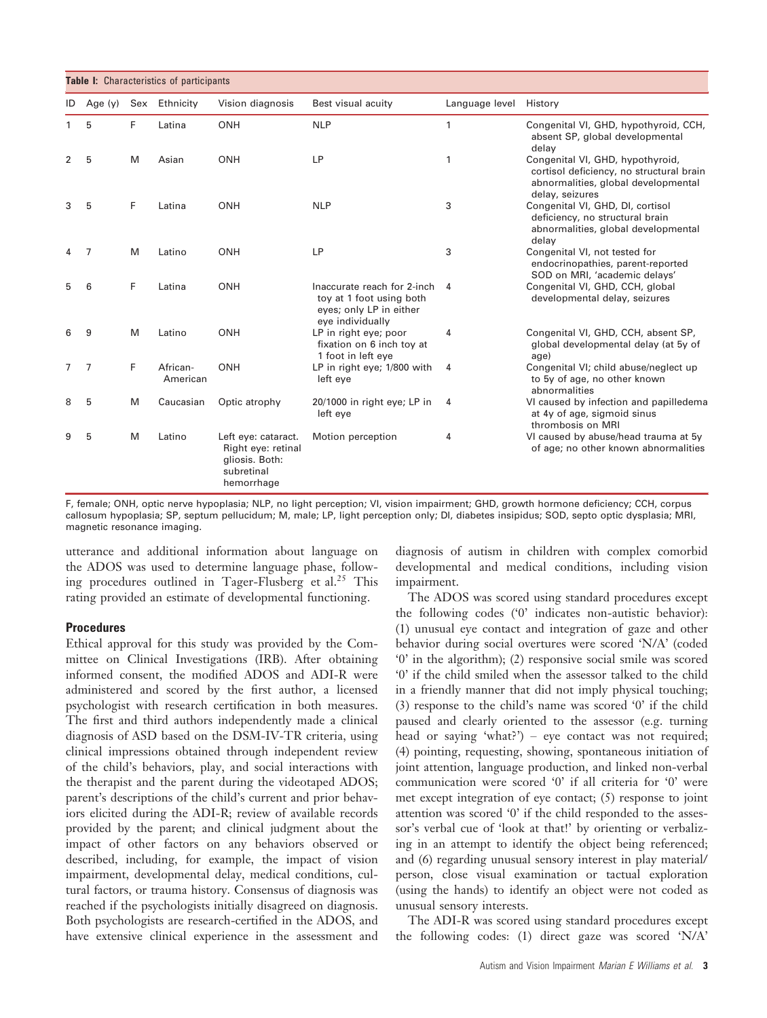|                | <b>Table I:</b> Characteristics of participants |   |                      |                                                                                         |                                                                                                        |                |                                                                                                                                        |  |
|----------------|-------------------------------------------------|---|----------------------|-----------------------------------------------------------------------------------------|--------------------------------------------------------------------------------------------------------|----------------|----------------------------------------------------------------------------------------------------------------------------------------|--|
| ID             | Age $(y)$                                       |   | Sex Ethnicity        | Vision diagnosis                                                                        | Best visual acuity                                                                                     | Language level | History                                                                                                                                |  |
| 1              | 5                                               | F | Latina               | ONH                                                                                     | <b>NLP</b>                                                                                             | 1              | Congenital VI, GHD, hypothyroid, CCH,<br>absent SP, global developmental<br>delay                                                      |  |
| 2              | 5                                               | M | Asian                | ONH                                                                                     | <b>LP</b>                                                                                              | $\mathbf{1}$   | Congenital VI, GHD, hypothyroid,<br>cortisol deficiency, no structural brain<br>abnormalities, global developmental<br>delay, seizures |  |
| 3              | 5                                               | F | Latina               | ONH                                                                                     | <b>NLP</b>                                                                                             | 3              | Congenital VI, GHD, DI, cortisol<br>deficiency, no structural brain<br>abnormalities, global developmental<br>delay                    |  |
| 4              | $\overline{7}$                                  | M | Latino               | <b>ONH</b>                                                                              | <b>LP</b>                                                                                              | 3              | Congenital VI, not tested for<br>endocrinopathies, parent-reported<br>SOD on MRI, 'academic delays'                                    |  |
| 5              | 6                                               | F | Latina               | ONH                                                                                     | Inaccurate reach for 2-inch<br>toy at 1 foot using both<br>eyes; only LP in either<br>eye individually | 4              | Congenital VI, GHD, CCH, global<br>developmental delay, seizures                                                                       |  |
| 6              | 9                                               | M | Latino               | <b>ONH</b>                                                                              | LP in right eye; poor<br>fixation on 6 inch toy at<br>1 foot in left eye                               | 4              | Congenital VI, GHD, CCH, absent SP,<br>global developmental delay (at 5y of<br>age)                                                    |  |
| $\overline{7}$ | 7                                               | F | African-<br>American | ONH                                                                                     | LP in right eye; 1/800 with<br>left eye                                                                | 4              | Congenital VI; child abuse/neglect up<br>to 5y of age, no other known<br>abnormalities                                                 |  |
| 8              | 5                                               | M | Caucasian            | Optic atrophy                                                                           | 20/1000 in right eye; LP in<br>left eye                                                                | 4              | VI caused by infection and papilledema<br>at 4y of age, sigmoid sinus<br>thrombosis on MRI                                             |  |
| 9              | 5                                               | M | Latino               | Left eye: cataract.<br>Right eye: retinal<br>gliosis. Both:<br>subretinal<br>hemorrhage | Motion perception                                                                                      | 4              | VI caused by abuse/head trauma at 5y<br>of age; no other known abnormalities                                                           |  |

F, female; ONH, optic nerve hypoplasia; NLP, no light perception; VI, vision impairment; GHD, growth hormone deficiency; CCH, corpus callosum hypoplasia; SP, septum pellucidum; M, male; LP, light perception only; DI, diabetes insipidus; SOD, septo optic dysplasia; MRI, magnetic resonance imaging.

utterance and additional information about language on the ADOS was used to determine language phase, following procedures outlined in Tager-Flusberg et al.<sup>25</sup> This rating provided an estimate of developmental functioning.

#### **Procedures**

Ethical approval for this study was provided by the Committee on Clinical Investigations (IRB). After obtaining informed consent, the modified ADOS and ADI-R were administered and scored by the first author, a licensed psychologist with research certification in both measures. The first and third authors independently made a clinical diagnosis of ASD based on the DSM-IV-TR criteria, using clinical impressions obtained through independent review of the child's behaviors, play, and social interactions with the therapist and the parent during the videotaped ADOS; parent's descriptions of the child's current and prior behaviors elicited during the ADI-R; review of available records provided by the parent; and clinical judgment about the impact of other factors on any behaviors observed or described, including, for example, the impact of vision impairment, developmental delay, medical conditions, cultural factors, or trauma history. Consensus of diagnosis was reached if the psychologists initially disagreed on diagnosis. Both psychologists are research-certified in the ADOS, and have extensive clinical experience in the assessment and

diagnosis of autism in children with complex comorbid developmental and medical conditions, including vision impairment.

The ADOS was scored using standard procedures except the following codes ('0' indicates non-autistic behavior): (1) unusual eye contact and integration of gaze and other behavior during social overtures were scored 'N/A' (coded '0' in the algorithm); (2) responsive social smile was scored '0' if the child smiled when the assessor talked to the child in a friendly manner that did not imply physical touching; (3) response to the child's name was scored '0' if the child paused and clearly oriented to the assessor (e.g. turning head or saying 'what?') – eye contact was not required; (4) pointing, requesting, showing, spontaneous initiation of joint attention, language production, and linked non-verbal communication were scored '0' if all criteria for '0' were met except integration of eye contact; (5) response to joint attention was scored '0' if the child responded to the assessor's verbal cue of 'look at that!' by orienting or verbalizing in an attempt to identify the object being referenced; and (6) regarding unusual sensory interest in play material/ person, close visual examination or tactual exploration (using the hands) to identify an object were not coded as unusual sensory interests.

The ADI-R was scored using standard procedures except the following codes: (1) direct gaze was scored 'N/A'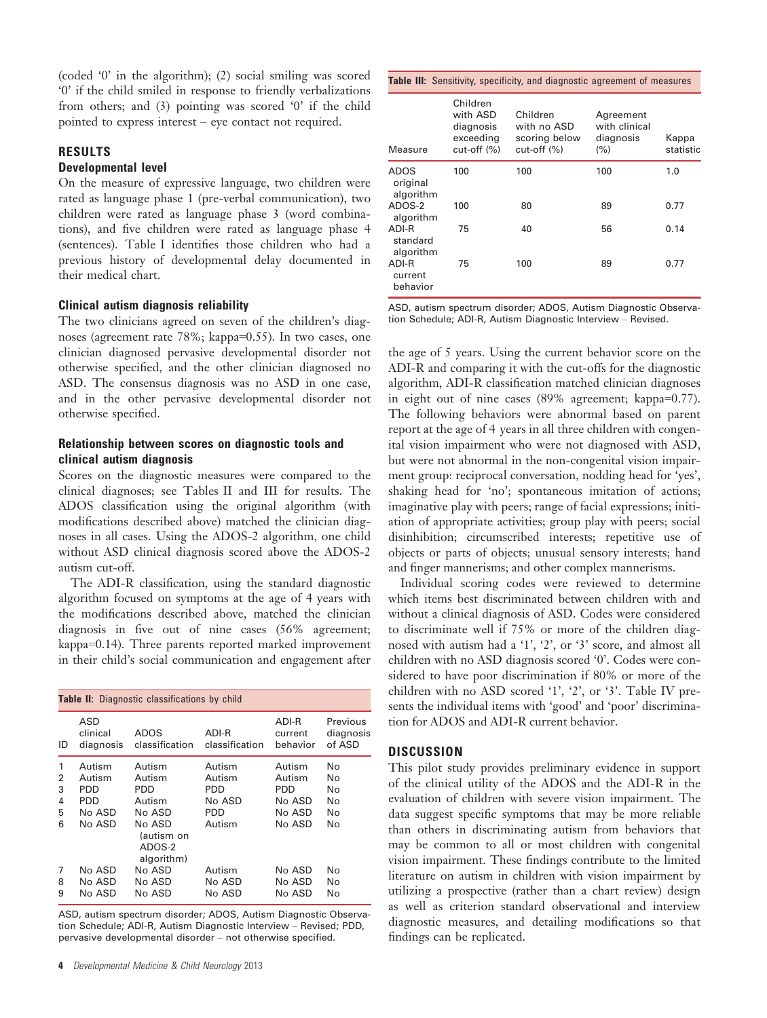(coded '0' in the algorithm); (2) social smiling was scored '0' if the child smiled in response to friendly verbalizations from others; and (3) pointing was scored '0' if the child pointed to express interest – eye contact not required.

## RESULTS

## Developmental level

On the measure of expressive language, two children were rated as language phase 1 (pre-verbal communication), two children were rated as language phase 3 (word combinations), and five children were rated as language phase 4 (sentences). Table I identifies those children who had a previous history of developmental delay documented in their medical chart.

#### Clinical autism diagnosis reliability

The two clinicians agreed on seven of the children's diagnoses (agreement rate 78%; kappa=0.55). In two cases, one clinician diagnosed pervasive developmental disorder not otherwise specified, and the other clinician diagnosed no ASD. The consensus diagnosis was no ASD in one case, and in the other pervasive developmental disorder not otherwise specified.

### Relationship between scores on diagnostic tools and clinical autism diagnosis

Scores on the diagnostic measures were compared to the clinical diagnoses; see Tables II and III for results. The ADOS classification using the original algorithm (with modifications described above) matched the clinician diagnoses in all cases. Using the ADOS-2 algorithm, one child without ASD clinical diagnosis scored above the ADOS-2 autism cut-off.

The ADI-R classification, using the standard diagnostic algorithm focused on symptoms at the age of 4 years with the modifications described above, matched the clinician diagnosis in five out of nine cases (56% agreement; kappa=0.14). Three parents reported marked improvement in their child's social communication and engagement after

| <b>Table II:</b> Diagnostic classifications by child |                                                    |                                                                                             |                                                    |                                                       |                                  |  |  |
|------------------------------------------------------|----------------------------------------------------|---------------------------------------------------------------------------------------------|----------------------------------------------------|-------------------------------------------------------|----------------------------------|--|--|
| ID                                                   | ASD<br>clinical<br>diagnosis                       | ADI-R<br>ADOS<br>classification<br>classification                                           |                                                    | ADI-R<br>current<br>behavior                          | Previous<br>diagnosis<br>of ASD  |  |  |
| 1<br>2<br>3<br>4<br>5<br>6                           | Autism<br>Autism<br>PDD<br>PDD<br>No ASD<br>No ASD | Autism<br>Autism<br>PDD<br>Autism<br>No ASD<br>No ASD<br>(autism on<br>ADOS-2<br>algorithm) | Autism<br>Autism<br>PDD<br>No ASD<br>PDD<br>Autism | Autism<br>Autism<br>PDD<br>No ASD<br>No ASD<br>No ASD | No<br>No<br>No<br>No<br>No<br>No |  |  |
| 7<br>8<br>9                                          | No ASD<br>No ASD<br>No ASD                         | No ASD<br>No ASD<br>No ASD                                                                  | Autism<br>No ASD<br>No ASD                         | No ASD<br>No ASD<br>No ASD                            | No<br>No<br>No                   |  |  |

ASD, autism spectrum disorder; ADOS, Autism Diagnostic Observation Schedule; ADI-R, Autism Diagnostic Interview – Revised; PDD, pervasive developmental disorder – not otherwise specified.

Table III: Sensitivity, specificity, and diagnostic agreement of measures

| Measure                              | Children<br>with ASD<br>diagnosis<br>exceeding<br>$cut-off (%)$ | Children<br>with no ASD<br>scoring below<br>$cut-off (%)$ | Agreement<br>with clinical<br>diagnosis<br>(%) | Kappa<br>statistic |
|--------------------------------------|-----------------------------------------------------------------|-----------------------------------------------------------|------------------------------------------------|--------------------|
| <b>ADOS</b><br>original<br>algorithm | 100                                                             | 100                                                       | 100                                            | 1.0                |
| ADOS-2<br>algorithm                  | 100                                                             | 80                                                        | 89                                             | 0.77               |
| ADI-R<br>standard<br>algorithm       | 75                                                              | 40                                                        | 56                                             | 0.14               |
| ADI-R<br>current<br>behavior         | 75                                                              | 100                                                       | 89                                             | 0.77               |

ASD, autism spectrum disorder; ADOS, Autism Diagnostic Observation Schedule; ADI-R, Autism Diagnostic Interview – Revised.

the age of 5 years. Using the current behavior score on the ADI-R and comparing it with the cut-offs for the diagnostic algorithm, ADI-R classification matched clinician diagnoses in eight out of nine cases (89% agreement; kappa=0.77). The following behaviors were abnormal based on parent report at the age of 4 years in all three children with congenital vision impairment who were not diagnosed with ASD, but were not abnormal in the non-congenital vision impairment group: reciprocal conversation, nodding head for 'yes', shaking head for 'no'; spontaneous imitation of actions; imaginative play with peers; range of facial expressions; initiation of appropriate activities; group play with peers; social disinhibition; circumscribed interests; repetitive use of objects or parts of objects; unusual sensory interests; hand and finger mannerisms; and other complex mannerisms.

Individual scoring codes were reviewed to determine which items best discriminated between children with and without a clinical diagnosis of ASD. Codes were considered to discriminate well if 75% or more of the children diagnosed with autism had a '1', '2', or '3' score, and almost all children with no ASD diagnosis scored '0'. Codes were considered to have poor discrimination if 80% or more of the children with no ASD scored '1', '2', or '3'. Table IV presents the individual items with 'good' and 'poor' discrimination for ADOS and ADI-R current behavior.

## **DISCUSSION**

This pilot study provides preliminary evidence in support of the clinical utility of the ADOS and the ADI-R in the evaluation of children with severe vision impairment. The data suggest specific symptoms that may be more reliable than others in discriminating autism from behaviors that may be common to all or most children with congenital vision impairment. These findings contribute to the limited literature on autism in children with vision impairment by utilizing a prospective (rather than a chart review) design as well as criterion standard observational and interview diagnostic measures, and detailing modifications so that findings can be replicated.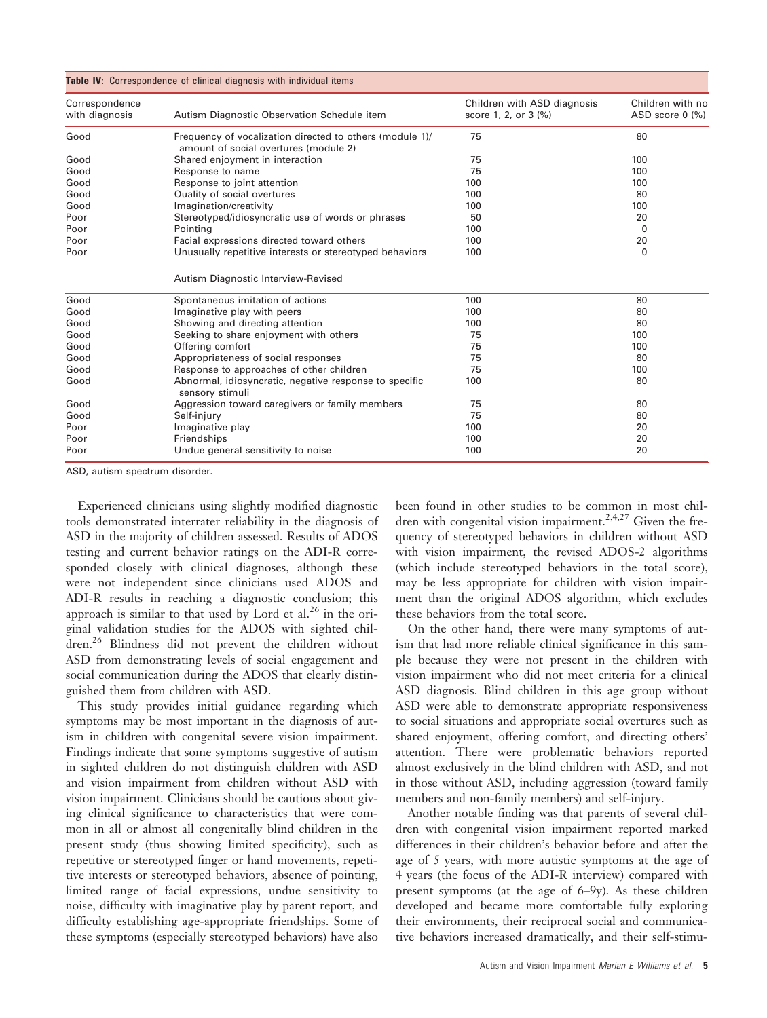| <b>Table IV:</b> Correspondence of clinical diagnosis with individual items |                                                                                                   |                                                     |                                                 |  |  |  |
|-----------------------------------------------------------------------------|---------------------------------------------------------------------------------------------------|-----------------------------------------------------|-------------------------------------------------|--|--|--|
| Correspondence<br>with diagnosis                                            | Autism Diagnostic Observation Schedule item                                                       | Children with ASD diagnosis<br>score 1, 2, or 3 (%) | Children with no<br>ASD score $0$ $\frac{1}{2}$ |  |  |  |
| Good                                                                        | Frequency of vocalization directed to others (module 1)/<br>amount of social overtures (module 2) | 75                                                  | 80                                              |  |  |  |
| Good                                                                        | Shared enjoyment in interaction                                                                   | 75                                                  | 100                                             |  |  |  |
| Good                                                                        | Response to name                                                                                  | 75                                                  | 100                                             |  |  |  |
| Good                                                                        | Response to joint attention                                                                       | 100                                                 | 100                                             |  |  |  |
| Good                                                                        | Quality of social overtures                                                                       | 100                                                 | 80                                              |  |  |  |
| Good                                                                        | Imagination/creativity                                                                            | 100                                                 | 100                                             |  |  |  |
| Poor                                                                        | Stereotyped/idiosyncratic use of words or phrases                                                 | 50                                                  | 20                                              |  |  |  |
| Poor                                                                        | Pointing                                                                                          | 100                                                 | 0                                               |  |  |  |
| Poor                                                                        | Facial expressions directed toward others                                                         | 100                                                 | 20                                              |  |  |  |
| Poor                                                                        | Unusually repetitive interests or stereotyped behaviors                                           | 100                                                 | $\mathbf{0}$                                    |  |  |  |
|                                                                             | Autism Diagnostic Interview-Revised                                                               |                                                     |                                                 |  |  |  |
| Good                                                                        | Spontaneous imitation of actions                                                                  | 100                                                 | 80                                              |  |  |  |
| Good                                                                        | Imaginative play with peers                                                                       | 100                                                 | 80                                              |  |  |  |
| Good                                                                        | Showing and directing attention                                                                   | 100                                                 | 80                                              |  |  |  |
| Good                                                                        | Seeking to share enjoyment with others                                                            | 75                                                  | 100                                             |  |  |  |
| Good                                                                        | Offering comfort                                                                                  | 75                                                  | 100                                             |  |  |  |
| Good                                                                        | Appropriateness of social responses                                                               | 75                                                  | 80                                              |  |  |  |
| Good                                                                        | Response to approaches of other children                                                          | 75                                                  | 100                                             |  |  |  |
| Good                                                                        | Abnormal, idiosyncratic, negative response to specific<br>sensory stimuli                         | 100                                                 | 80                                              |  |  |  |
| Good                                                                        | Aggression toward caregivers or family members                                                    | 75                                                  | 80                                              |  |  |  |
| Good                                                                        | Self-injury                                                                                       | 75                                                  | 80                                              |  |  |  |
| Poor                                                                        | Imaginative play                                                                                  | 100                                                 | 20                                              |  |  |  |
| Poor                                                                        | Friendships                                                                                       | 100                                                 | 20                                              |  |  |  |
| Poor                                                                        | Undue general sensitivity to noise                                                                | 100                                                 | 20                                              |  |  |  |

ASD, autism spectrum disorder.

Experienced clinicians using slightly modified diagnostic tools demonstrated interrater reliability in the diagnosis of ASD in the majority of children assessed. Results of ADOS testing and current behavior ratings on the ADI-R corresponded closely with clinical diagnoses, although these were not independent since clinicians used ADOS and ADI-R results in reaching a diagnostic conclusion; this approach is similar to that used by Lord et al.<sup>26</sup> in the original validation studies for the ADOS with sighted children.<sup>26</sup> Blindness did not prevent the children without ASD from demonstrating levels of social engagement and social communication during the ADOS that clearly distinguished them from children with ASD.

This study provides initial guidance regarding which symptoms may be most important in the diagnosis of autism in children with congenital severe vision impairment. Findings indicate that some symptoms suggestive of autism in sighted children do not distinguish children with ASD and vision impairment from children without ASD with vision impairment. Clinicians should be cautious about giving clinical significance to characteristics that were common in all or almost all congenitally blind children in the present study (thus showing limited specificity), such as repetitive or stereotyped finger or hand movements, repetitive interests or stereotyped behaviors, absence of pointing, limited range of facial expressions, undue sensitivity to noise, difficulty with imaginative play by parent report, and difficulty establishing age-appropriate friendships. Some of these symptoms (especially stereotyped behaviors) have also been found in other studies to be common in most children with congenital vision impairment.<sup>2,4,27</sup> Given the frequency of stereotyped behaviors in children without ASD with vision impairment, the revised ADOS-2 algorithms (which include stereotyped behaviors in the total score), may be less appropriate for children with vision impairment than the original ADOS algorithm, which excludes these behaviors from the total score.

On the other hand, there were many symptoms of autism that had more reliable clinical significance in this sample because they were not present in the children with vision impairment who did not meet criteria for a clinical ASD diagnosis. Blind children in this age group without ASD were able to demonstrate appropriate responsiveness to social situations and appropriate social overtures such as shared enjoyment, offering comfort, and directing others' attention. There were problematic behaviors reported almost exclusively in the blind children with ASD, and not in those without ASD, including aggression (toward family members and non-family members) and self-injury.

Another notable finding was that parents of several children with congenital vision impairment reported marked differences in their children's behavior before and after the age of 5 years, with more autistic symptoms at the age of 4 years (the focus of the ADI-R interview) compared with present symptoms (at the age of 6–9y). As these children developed and became more comfortable fully exploring their environments, their reciprocal social and communicative behaviors increased dramatically, and their self-stimu-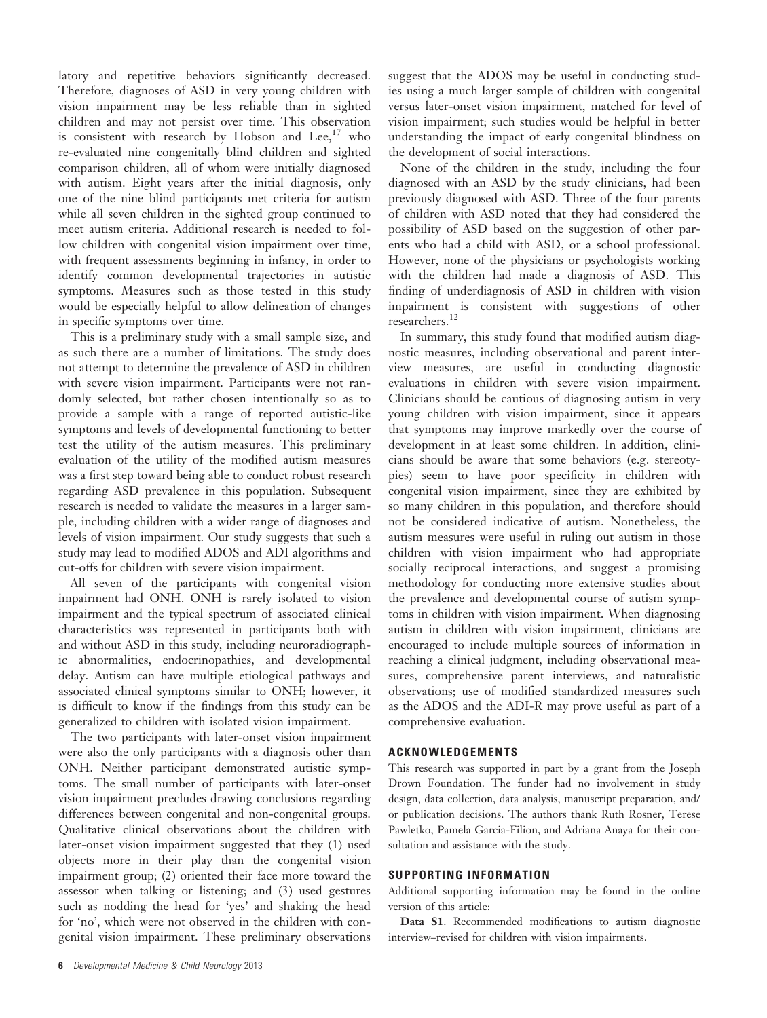latory and repetitive behaviors significantly decreased. Therefore, diagnoses of ASD in very young children with vision impairment may be less reliable than in sighted children and may not persist over time. This observation is consistent with research by Hobson and Lee, $17$  who re-evaluated nine congenitally blind children and sighted comparison children, all of whom were initially diagnosed with autism. Eight years after the initial diagnosis, only one of the nine blind participants met criteria for autism while all seven children in the sighted group continued to meet autism criteria. Additional research is needed to follow children with congenital vision impairment over time, with frequent assessments beginning in infancy, in order to identify common developmental trajectories in autistic symptoms. Measures such as those tested in this study would be especially helpful to allow delineation of changes in specific symptoms over time.

This is a preliminary study with a small sample size, and as such there are a number of limitations. The study does not attempt to determine the prevalence of ASD in children with severe vision impairment. Participants were not randomly selected, but rather chosen intentionally so as to provide a sample with a range of reported autistic-like symptoms and levels of developmental functioning to better test the utility of the autism measures. This preliminary evaluation of the utility of the modified autism measures was a first step toward being able to conduct robust research regarding ASD prevalence in this population. Subsequent research is needed to validate the measures in a larger sample, including children with a wider range of diagnoses and levels of vision impairment. Our study suggests that such a study may lead to modified ADOS and ADI algorithms and cut-offs for children with severe vision impairment.

All seven of the participants with congenital vision impairment had ONH. ONH is rarely isolated to vision impairment and the typical spectrum of associated clinical characteristics was represented in participants both with and without ASD in this study, including neuroradiographic abnormalities, endocrinopathies, and developmental delay. Autism can have multiple etiological pathways and associated clinical symptoms similar to ONH; however, it is difficult to know if the findings from this study can be generalized to children with isolated vision impairment.

The two participants with later-onset vision impairment were also the only participants with a diagnosis other than ONH. Neither participant demonstrated autistic symptoms. The small number of participants with later-onset vision impairment precludes drawing conclusions regarding differences between congenital and non-congenital groups. Qualitative clinical observations about the children with later-onset vision impairment suggested that they (1) used objects more in their play than the congenital vision impairment group; (2) oriented their face more toward the assessor when talking or listening; and (3) used gestures such as nodding the head for 'yes' and shaking the head for 'no', which were not observed in the children with congenital vision impairment. These preliminary observations

suggest that the ADOS may be useful in conducting studies using a much larger sample of children with congenital versus later-onset vision impairment, matched for level of vision impairment; such studies would be helpful in better understanding the impact of early congenital blindness on the development of social interactions.

None of the children in the study, including the four diagnosed with an ASD by the study clinicians, had been previously diagnosed with ASD. Three of the four parents of children with ASD noted that they had considered the possibility of ASD based on the suggestion of other parents who had a child with ASD, or a school professional. However, none of the physicians or psychologists working with the children had made a diagnosis of ASD. This finding of underdiagnosis of ASD in children with vision impairment is consistent with suggestions of other researchers.<sup>12</sup>

In summary, this study found that modified autism diagnostic measures, including observational and parent interview measures, are useful in conducting diagnostic evaluations in children with severe vision impairment. Clinicians should be cautious of diagnosing autism in very young children with vision impairment, since it appears that symptoms may improve markedly over the course of development in at least some children. In addition, clinicians should be aware that some behaviors (e.g. stereotypies) seem to have poor specificity in children with congenital vision impairment, since they are exhibited by so many children in this population, and therefore should not be considered indicative of autism. Nonetheless, the autism measures were useful in ruling out autism in those children with vision impairment who had appropriate socially reciprocal interactions, and suggest a promising methodology for conducting more extensive studies about the prevalence and developmental course of autism symptoms in children with vision impairment. When diagnosing autism in children with vision impairment, clinicians are encouraged to include multiple sources of information in reaching a clinical judgment, including observational measures, comprehensive parent interviews, and naturalistic observations; use of modified standardized measures such as the ADOS and the ADI-R may prove useful as part of a comprehensive evaluation.

#### ACKNOWLEDGEMENTS

This research was supported in part by a grant from the Joseph Drown Foundation. The funder had no involvement in study design, data collection, data analysis, manuscript preparation, and/ or publication decisions. The authors thank Ruth Rosner, Terese Pawletko, Pamela Garcia-Filion, and Adriana Anaya for their consultation and assistance with the study.

#### SUPPORTING INFORMATION

Additional supporting information may be found in the online version of this article:

Data S1. Recommended modifications to autism diagnostic interview–revised for children with vision impairments.